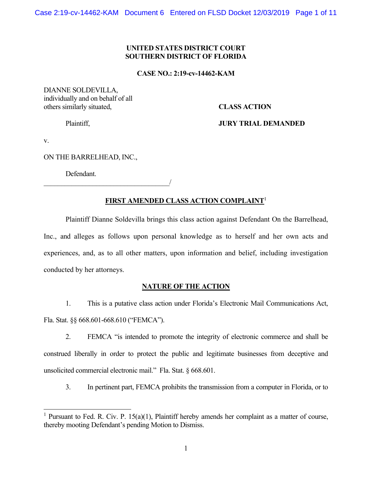# **UNITED STATES DISTRICT COURT SOUTHERN DISTRICT OF FLORIDA**

## **CASE NO.: 2:19-cv-14462-KAM**

DIANNE SOLDEVILLA, individually and on behalf of all others similarly situated, **CLASS ACTION** 

Plaintiff, **JURY TRIAL DEMANDED**

v.

ON THE BARRELHEAD, INC.,

Defendant.

 $\overline{\phantom{a}}$ 

# **FIRST AMENDED CLASS ACTION COMPLAINT**<sup>1</sup>

Plaintiff Dianne Soldevilla brings this class action against Defendant On the Barrelhead, Inc., and alleges as follows upon personal knowledge as to herself and her own acts and experiences, and, as to all other matters, upon information and belief, including investigation conducted by her attorneys.

## **NATURE OF THE ACTION**

1. This is a putative class action under Florida's Electronic Mail Communications Act, Fla. Stat. §§ 668.601-668.610 ("FEMCA").

2. FEMCA "is intended to promote the integrity of electronic commerce and shall be construed liberally in order to protect the public and legitimate businesses from deceptive and unsolicited commercial electronic mail." Fla. Stat. § 668.601.

3. In pertinent part, FEMCA prohibits the transmission from a computer in Florida, or to

<sup>&</sup>lt;sup>1</sup> Pursuant to Fed. R. Civ. P.  $15(a)(1)$ , Plaintiff hereby amends her complaint as a matter of course, thereby mooting Defendant's pending Motion to Dismiss.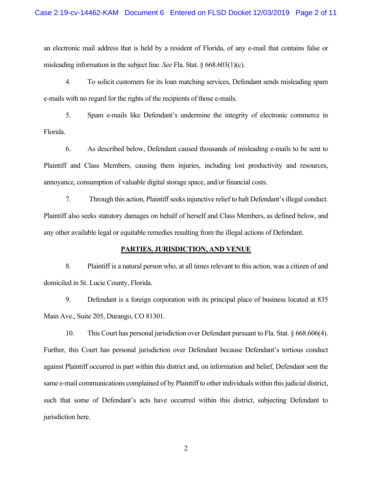an electronic mail address that is held by a resident of Florida, of any e-mail that contains false or misleading information in the subject line. *See* Fla. Stat. § 668.603(1)(c).

4. To solicit customers for its loan matching services, Defendant sends misleading spam e-mails with no regard for the rights of the recipients of those e-mails.

5. Spam e-mails like Defendant's undermine the integrity of electronic commerce in Florida.

6. As described below, Defendant caused thousands of misleading e-mails to be sent to Plaintiff and Class Members, causing them injuries, including lost productivity and resources, annoyance, consumption of valuable digital storage space, and/or financial costs.

7. Through this action, Plaintiff seeks injunctive relief to halt Defendant's illegal conduct. Plaintiff also seeks statutory damages on behalf of herself and Class Members, as defined below, and any other available legal or equitable remedies resulting from the illegal actions of Defendant.

#### **PARTIES, JURISDICTION, AND VENUE**

8. Plaintiff is a natural person who, at all times relevant to this action, was a citizen of and domiciled in St. Lucie County, Florida.

9. Defendant is a foreign corporation with its principal place of business located at 835 Main Ave., Suite 205, Durango, CO 81301.

10. This Court has personal jurisdiction over Defendant pursuant to Fla. Stat. § 668.606(4). Further, this Court has personal jurisdiction over Defendant because Defendant's tortious conduct against Plaintiff occurred in part within this district and, on information and belief, Defendant sent the same e-mail communications complained of by Plaintiff to other individuals within this judicial district, such that some of Defendant's acts have occurred within this district, subjecting Defendant to jurisdiction here.

2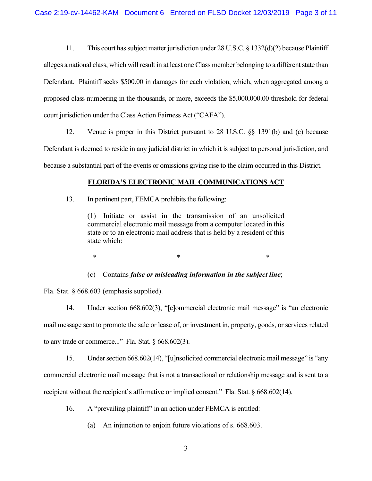11. This court has subject matter jurisdiction under 28 U.S.C. § 1332(d)(2) because Plaintiff alleges a national class, which will result in at least one Class member belonging to a different state than Defendant. Plaintiff seeks \$500.00 in damages for each violation, which, when aggregated among a proposed class numbering in the thousands, or more, exceeds the \$5,000,000.00 threshold for federal court jurisdiction under the Class Action Fairness Act ("CAFA").

12. Venue is proper in this District pursuant to 28 U.S.C. §§ 1391(b) and (c) because Defendant is deemed to reside in any judicial district in which it is subject to personal jurisdiction, and because a substantial part of the events or omissions giving rise to the claim occurred in this District.

# **FLORIDA'S ELECTRONIC MAIL COMMUNICATIONS ACT**

13. In pertinent part, FEMCA prohibits the following:

(1) Initiate or assist in the transmission of an unsolicited commercial electronic mail message from a computer located in this state or to an electronic mail address that is held by a resident of this state which:

 $*$   $*$   $*$ 

(c) Contains *false or misleading information in the subject line*;

Fla. Stat. § 668.603 (emphasis supplied).

14. Under section 668.602(3), "[c]ommercial electronic mail message" is "an electronic mail message sent to promote the sale or lease of, or investment in, property, goods, or services related to any trade or commerce..." Fla. Stat.  $\delta$  668.602(3).

15. Under section 668.602(14), "[u]nsolicited commercial electronic mail message" is "any commercial electronic mail message that is not a transactional or relationship message and is sent to a recipient without the recipient's affirmative or implied consent." Fla. Stat. § 668.602(14).

16. A "prevailing plaintiff" in an action under FEMCA is entitled:

(a) An injunction to enjoin future violations of s. 668.603.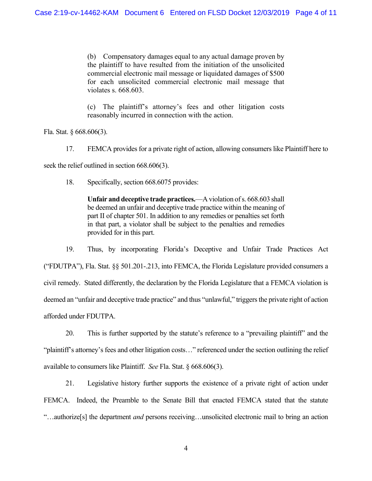(b) Compensatory damages equal to any actual damage proven by the plaintiff to have resulted from the initiation of the unsolicited commercial electronic mail message or liquidated damages of \$500 for each unsolicited commercial electronic mail message that violates s. 668.603.

(c) The plaintiff's attorney's fees and other litigation costs reasonably incurred in connection with the action.

Fla. Stat. § 668.606(3).

17. FEMCA provides for a private right of action, allowing consumers like Plaintiff here to seek the relief outlined in section 668.606(3).

18. Specifically, section 668.6075 provides:

**Unfair and deceptive trade practices.**—A violation of s. 668.603 shall be deemed an unfair and deceptive trade practice within the meaning of part II of chapter 501. In addition to any remedies or penalties set forth in that part, a violator shall be subject to the penalties and remedies provided for in this part.

19. Thus, by incorporating Florida's Deceptive and Unfair Trade Practices Act ("FDUTPA"), Fla. Stat. §§ 501.201-.213, into FEMCA, the Florida Legislature provided consumers a civil remedy. Stated differently, the declaration by the Florida Legislature that a FEMCA violation is deemed an "unfair and deceptive trade practice" and thus "unlawful," triggers the private right of action afforded under FDUTPA.

20. This is further supported by the statute's reference to a "prevailing plaintiff" and the "plaintiff's attorney's fees and other litigation costs…" referenced under the section outlining the relief available to consumers like Plaintiff. *See* Fla. Stat. § 668.606(3).

21. Legislative history further supports the existence of a private right of action under FEMCA. Indeed, the Preamble to the Senate Bill that enacted FEMCA stated that the statute "…authorize[s] the department *and* persons receiving…unsolicited electronic mail to bring an action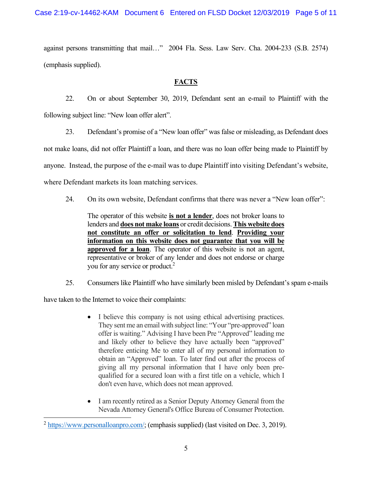Case 2:19-cv-14462-KAM Document 6 Entered on FLSD Docket 12/03/2019 Page 5 of 11

against persons transmitting that mail…" 2004 Fla. Sess. Law Serv. Cha. 2004-233 (S.B. 2574) (emphasis supplied).

# **FACTS**

22. On or about September 30, 2019, Defendant sent an e-mail to Plaintiff with the following subject line: "New loan offer alert".

23. Defendant's promise of a "New loan offer" was false or misleading, as Defendant does

not make loans, did not offer Plaintiff a loan, and there was no loan offer being made to Plaintiff by

anyone. Instead, the purpose of the e-mail was to dupe Plaintiff into visiting Defendant's website,

where Defendant markets its loan matching services.

24. On its own website, Defendant confirms that there was never a "New loan offer":

The operator of this website **is not a lender**, does not broker loans to lenders and **does not make loans** or credit decisions. **This website does not constitute an offer or solicitation to lend**. **Providing your information on this website does not guarantee that you will be approved for a loan**. The operator of this website is not an agent, representative or broker of any lender and does not endorse or charge you for any service or product.2

25. Consumers like Plaintiff who have similarly been misled by Defendant's spam e-mails

have taken to the Internet to voice their complaints:

- I believe this company is not using ethical advertising practices. They sent me an email with subject line: "Your "pre-approved" loan offer is waiting." Advising I have been Pre "Approved" leading me and likely other to believe they have actually been "approved" therefore enticing Me to enter all of my personal information to obtain an "Approved" loan. To later find out after the process of giving all my personal information that I have only been prequalified for a secured loan with a first title on a vehicle, which I don't even have, which does not mean approved.
- I am recently retired as a Senior Deputy Attorney General from the Nevada Attorney General's Office Bureau of Consumer Protection.

<sup>&</sup>lt;sup>2</sup> https://www.personalloanpro.com/; (emphasis supplied) (last visited on Dec. 3, 2019).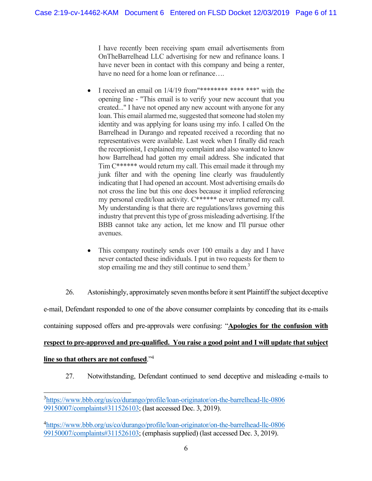I have recently been receiving spam email advertisements from OnTheBarrelhead LLC advertising for new and refinance loans. I have never been in contact with this company and being a renter, have no need for a home loan or refinance....

- I received an email on 1/4/19 from"\*\*\*\*\*\*\*\* \*\*\*\* \*\*\*" with the opening line - "This email is to verify your new account that you created..." I have not opened any new account with anyone for any loan. This email alarmed me, suggested that someone had stolen my identity and was applying for loans using my info. I called On the Barrelhead in Durango and repeated received a recording that no representatives were available. Last week when I finally did reach the receptionist, I explained my complaint and also wanted to know how Barrelhead had gotten my email address. She indicated that Tim C\*\*\*\*\*\* would return my call. This email made it through my junk filter and with the opening line clearly was fraudulently indicating that I had opened an account. Most advertising emails do not cross the line but this one does because it implied referencing my personal credit/loan activity. C\*\*\*\*\*\* never returned my call. My understanding is that there are regulations/laws governing this industry that prevent this type of gross misleading advertising. If the BBB cannot take any action, let me know and I'll pursue other avenues.
- This company routinely sends over 100 emails a day and I have never contacted these individuals. I put in two requests for them to stop emailing me and they still continue to send them.<sup>3</sup>

26. Astonishingly, approximately seven months before it sent Plaintiff the subject deceptive e-mail, Defendant responded to one of the above consumer complaints by conceding that its e-mails containing supposed offers and pre-approvals were confusing: "**Apologies for the confusion with** 

# **respect to pre-approved and pre-qualified. You raise a good point and I will update that subject**

# **line so that others are not confused**."4

27. Notwithstanding, Defendant continued to send deceptive and misleading e-mails to

<sup>&</sup>lt;sup>3</sup>https://www.bbb.org/us/co/durango/profile/loan-originator/on-the-barrelhead-llc-0806 99150007/complaints#311526103; (last accessed Dec. 3, 2019).

<sup>4</sup> https://www.bbb.org/us/co/durango/profile/loan-originator/on-the-barrelhead-llc-0806 99150007/complaints#311526103; (emphasis supplied) (last accessed Dec. 3, 2019).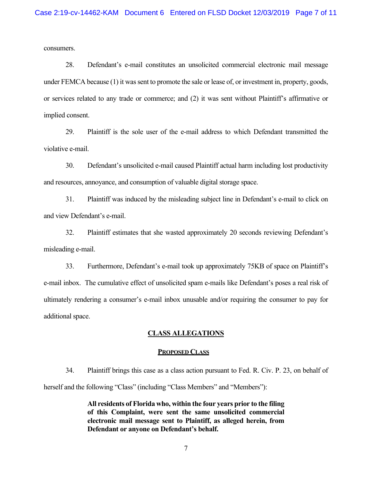consumers.

28. Defendant's e-mail constitutes an unsolicited commercial electronic mail message under FEMCA because (1) it was sent to promote the sale or lease of, or investment in, property, goods, or services related to any trade or commerce; and (2) it was sent without Plaintiff's affirmative or implied consent.

29. Plaintiff is the sole user of the e-mail address to which Defendant transmitted the violative e-mail.

30. Defendant's unsolicited e-mail caused Plaintiff actual harm including lost productivity and resources, annoyance, and consumption of valuable digital storage space.

31. Plaintiff was induced by the misleading subject line in Defendant's e-mail to click on and view Defendant's e-mail.

32. Plaintiff estimates that she wasted approximately 20 seconds reviewing Defendant's misleading e-mail.

33. Furthermore, Defendant's e-mail took up approximately 75KB of space on Plaintiff's e-mail inbox. The cumulative effect of unsolicited spam e-mails like Defendant's poses a real risk of ultimately rendering a consumer's e-mail inbox unusable and/or requiring the consumer to pay for additional space.

### **CLASS ALLEGATIONS**

#### **PROPOSED CLASS**

34. Plaintiff brings this case as a class action pursuant to Fed. R. Civ. P. 23, on behalf of herself and the following "Class" (including "Class Members" and "Members"):

> **All residents of Florida who, within the four years prior to the filing of this Complaint, were sent the same unsolicited commercial electronic mail message sent to Plaintiff, as alleged herein, from Defendant or anyone on Defendant's behalf.**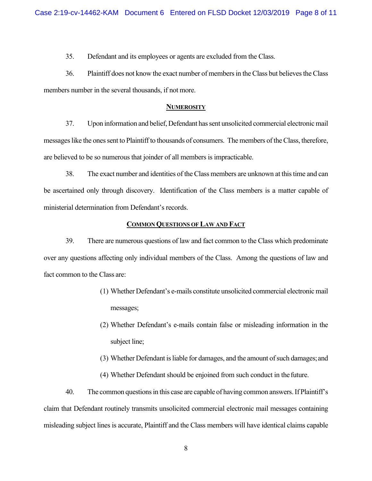35. Defendant and its employees or agents are excluded from the Class.

36. Plaintiff does not know the exact number of members in the Class but believes the Class members number in the several thousands, if not more.

## **NUMEROSITY**

37. Upon information and belief, Defendant has sent unsolicited commercial electronic mail messages like the ones sent to Plaintiff to thousands of consumers. The members of the Class, therefore, are believed to be so numerous that joinder of all members is impracticable.

38. The exact number and identities of the Class members are unknown at this time and can be ascertained only through discovery. Identification of the Class members is a matter capable of ministerial determination from Defendant's records.

## **COMMON QUESTIONS OF LAW AND FACT**

39. There are numerous questions of law and fact common to the Class which predominate over any questions affecting only individual members of the Class. Among the questions of law and fact common to the Class are:

- (1) Whether Defendant's e-mails constitute unsolicited commercial electronic mail messages;
- (2) Whether Defendant's e-mails contain false or misleading information in the subject line;
- (3) Whether Defendant is liable for damages, and the amount of such damages; and
- (4) Whether Defendant should be enjoined from such conduct in the future.

40. The common questions in this case are capable of having common answers. If Plaintiff's claim that Defendant routinely transmits unsolicited commercial electronic mail messages containing misleading subject lines is accurate, Plaintiff and the Class members will have identical claims capable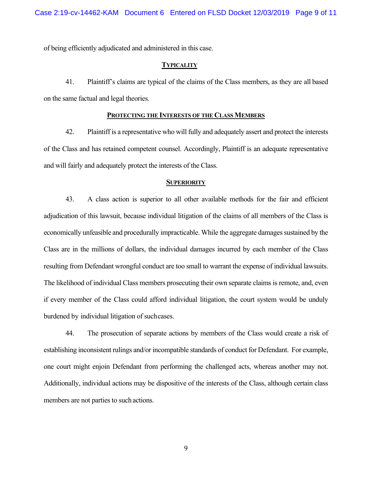of being efficiently adjudicated and administered in this case.

#### **TYPICALITY**

41. Plaintiff's claims are typical of the claims of the Class members, as they are all based on the same factual and legal theories.

#### **PROTECTING THE INTERESTS OF THE CLASS MEMBERS**

42. Plaintiff is a representative who will fully and adequately assert and protect the interests of the Class and has retained competent counsel. Accordingly, Plaintiff is an adequate representative and will fairly and adequately protect the interests of the Class.

#### **SUPERIORITY**

43. A class action is superior to all other available methods for the fair and efficient adjudication of this lawsuit, because individual litigation of the claims of all members of the Class is economically unfeasible and procedurally impracticable. While the aggregate damages sustained by the Class are in the millions of dollars, the individual damages incurred by each member of the Class resulting from Defendant wrongful conduct are too small to warrant the expense of individual lawsuits. The likelihood of individual Class members prosecuting their own separate claims is remote, and, even if every member of the Class could afford individual litigation, the court system would be unduly burdened by individual litigation of such cases.

44. The prosecution of separate actions by members of the Class would create a risk of establishing inconsistent rulings and/or incompatible standards of conduct for Defendant. For example, one court might enjoin Defendant from performing the challenged acts, whereas another may not. Additionally, individual actions may be dispositive of the interests of the Class, although certain class members are not parties to such actions.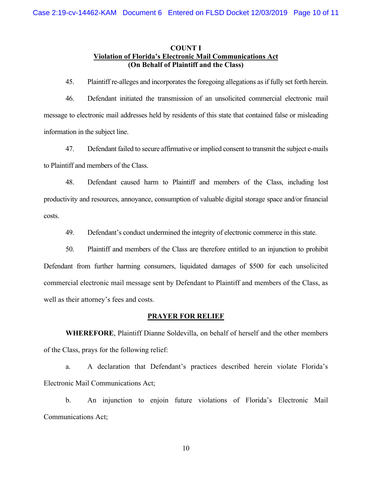## **COUNT I Violation of Florida's Electronic Mail Communications Act (On Behalf of Plaintiff and the Class)**

45. Plaintiff re-alleges and incorporates the foregoing allegations as if fully set forth herein.

46. Defendant initiated the transmission of an unsolicited commercial electronic mail message to electronic mail addresses held by residents of this state that contained false or misleading information in the subject line.

47. Defendant failed to secure affirmative or implied consent to transmit the subject e-mails to Plaintiff and members of the Class.

48. Defendant caused harm to Plaintiff and members of the Class, including lost productivity and resources, annoyance, consumption of valuable digital storage space and/or financial costs.

49. Defendant's conduct undermined the integrity of electronic commerce in this state.

50. Plaintiff and members of the Class are therefore entitled to an injunction to prohibit Defendant from further harming consumers, liquidated damages of \$500 for each unsolicited commercial electronic mail message sent by Defendant to Plaintiff and members of the Class, as well as their attorney's fees and costs.

#### **PRAYER FOR RELIEF**

**WHEREFORE**, Plaintiff Dianne Soldevilla, on behalf of herself and the other members of the Class, prays for the following relief:

a. A declaration that Defendant's practices described herein violate Florida's Electronic Mail Communications Act;

b. An injunction to enjoin future violations of Florida's Electronic Mail Communications Act;

10